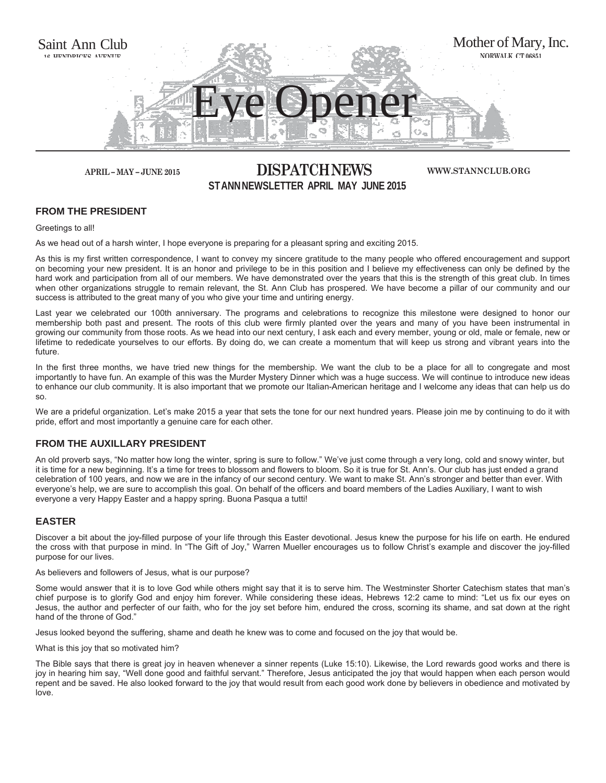

## **APRIL – MAY – JUNE 2015 DISPATCH NEWS ST ANN NEWSLETTER APRIL MAY JUNE 2015**

**WWW.STANNCLUB.ORG**

#### **FROM THE PRESIDENT**

Greetings to all!

As we head out of a harsh winter, I hope everyone is preparing for a pleasant spring and exciting 2015.

As this is my first written correspondence, I want to convey my sincere gratitude to the many people who offered encouragement and support on becoming your new president. It is an honor and privilege to be in this position and I believe my effectiveness can only be defined by the hard work and participation from all of our members. We have demonstrated over the years that this is the strength of this great club. In times when other organizations struggle to remain relevant, the St. Ann Club has prospered. We have become a pillar of our community and our success is attributed to the great many of you who give your time and untiring energy.

Last year we celebrated our 100th anniversary. The programs and celebrations to recognize this milestone were designed to honor our membership both past and present. The roots of this club were firmly planted over the years and many of you have been instrumental in growing our community from those roots. As we head into our next century, I ask each and every member, young or old, male or female, new or lifetime to rededicate yourselves to our efforts. By doing do, we can create a momentum that will keep us strong and vibrant years into the future.

In the first three months, we have tried new things for the membership. We want the club to be a place for all to congregate and most importantly to have fun. An example of this was the Murder Mystery Dinner which was a huge success. We will continue to introduce new ideas to enhance our club community. It is also important that we promote our Italian-American heritage and I welcome any ideas that can help us do so.

We are a prideful organization. Let's make 2015 a year that sets the tone for our next hundred years. Please join me by continuing to do it with pride, effort and most importantly a genuine care for each other.

#### **FROM THE AUXILLARY PRESIDENT**

An old proverb says, "No matter how long the winter, spring is sure to follow." We've just come through a very long, cold and snowy winter, but it is time for a new beginning. It's a time for trees to blossom and flowers to bloom. So it is true for St. Ann's. Our club has just ended a grand celebration of 100 years, and now we are in the infancy of our second century. We want to make St. Ann's stronger and better than ever. With everyone's help, we are sure to accomplish this goal. On behalf of the officers and board members of the Ladies Auxiliary, I want to wish everyone a very Happy Easter and a happy spring. Buona Pasqua a tutti!

#### **EASTER**

Discover a bit about the joy-filled purpose of your life through this Easter devotional. Jesus knew the purpose for his life on earth. He endured the cross with that purpose in mind. In "The Gift of Joy," Warren Mueller encourages us to follow Christ's example and discover the joy-filled purpose for our lives.

#### As believers and followers of Jesus, what is our purpose?

Some would answer that it is to love God while others might say that it is to serve him. The Westminster Shorter Catechism states that man's chief purpose is to glorify God and enjoy him forever. While considering these ideas, Hebrews 12:2 came to mind: "Let us fix our eyes on Jesus, the author and perfecter of our faith, who for the joy set before him, endured the cross, scorning its shame, and sat down at the right hand of the throne of God."

Jesus looked beyond the suffering, shame and death he knew was to come and focused on the joy that would be.

What is this joy that so motivated him?

The Bible says that there is great joy in heaven whenever a sinner repents (Luke 15:10). Likewise, the Lord rewards good works and there is joy in hearing him say, "Well done good and faithful servant." Therefore, Jesus anticipated the joy that would happen when each person would repent and be saved. He also looked forward to the joy that would result from each good work done by believers in obedience and motivated by love.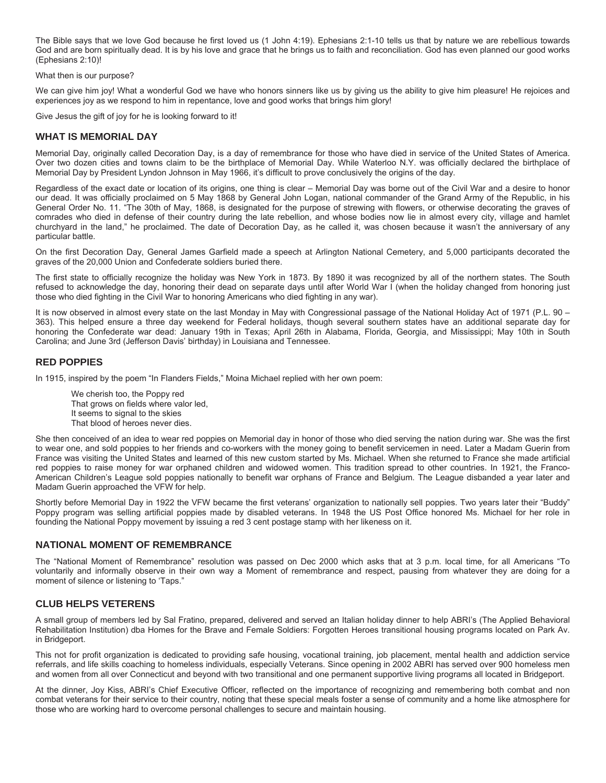The Bible says that we love God because he first loved us (1 John 4:19). Ephesians 2:1-10 tells us that by nature we are rebellious towards God and are born spiritually dead. It is by his love and grace that he brings us to faith and reconciliation. God has even planned our good works (Ephesians 2:10)!

What then is our purpose?

We can give him joy! What a wonderful God we have who honors sinners like us by giving us the ability to give him pleasure! He rejoices and experiences joy as we respond to him in repentance, love and good works that brings him glory!

Give Jesus the gift of joy for he is looking forward to it!

#### **WHAT IS MEMORIAL DAY**

Memorial Day, originally called Decoration Day, is a day of remembrance for those who have died in service of the United States of America. Over two dozen cities and towns claim to be the birthplace of Memorial Day. While Waterloo N.Y. was officially declared the birthplace of Memorial Day by President Lyndon Johnson in May 1966, it's difficult to prove conclusively the origins of the day.

Regardless of the exact date or location of its origins, one thing is clear – Memorial Day was borne out of the Civil War and a desire to honor our dead. It was officially proclaimed on 5 May 1868 by General John Logan, national commander of the Grand Army of the Republic, in his General Order No. 11. "The 30th of May, 1868, is designated for the purpose of strewing with flowers, or otherwise decorating the graves of comrades who died in defense of their country during the late rebellion, and whose bodies now lie in almost every city, village and hamlet churchyard in the land," he proclaimed. The date of Decoration Day, as he called it, was chosen because it wasn't the anniversary of any particular battle.

On the first Decoration Day, General James Garfield made a speech at Arlington National Cemetery, and 5,000 participants decorated the graves of the 20,000 Union and Confederate soldiers buried there.

The first state to officially recognize the holiday was New York in 1873. By 1890 it was recognized by all of the northern states. The South refused to acknowledge the day, honoring their dead on separate days until after World War I (when the holiday changed from honoring just those who died fighting in the Civil War to honoring Americans who died fighting in any war).

It is now observed in almost every state on the last Monday in May with Congressional passage of the National Holiday Act of 1971 (P.L. 90 – 363). This helped ensure a three day weekend for Federal holidays, though several southern states have an additional separate day for honoring the Confederate war dead: January 19th in Texas; April 26th in Alabama, Florida, Georgia, and Mississippi; May 10th in South Carolina; and June 3rd (Jefferson Davis' birthday) in Louisiana and Tennessee.

#### **RED POPPIES**

In 1915, inspired by the poem "In Flanders Fields," Moina Michael replied with her own poem:

We cherish too, the Poppy red That grows on fields where valor led, It seems to signal to the skies That blood of heroes never dies.

She then conceived of an idea to wear red poppies on Memorial day in honor of those who died serving the nation during war. She was the first to wear one, and sold poppies to her friends and co-workers with the money going to benefit servicemen in need. Later a Madam Guerin from France was visiting the United States and learned of this new custom started by Ms. Michael. When she returned to France she made artificial red poppies to raise money for war orphaned children and widowed women. This tradition spread to other countries. In 1921, the Franco-American Children's League sold poppies nationally to benefit war orphans of France and Belgium. The League disbanded a year later and Madam Guerin approached the VFW for help.

Shortly before Memorial Day in 1922 the VFW became the first veterans' organization to nationally sell poppies. Two years later their "Buddy" Poppy program was selling artificial poppies made by disabled veterans. In 1948 the US Post Office honored Ms. Michael for her role in founding the National Poppy movement by issuing a red 3 cent postage stamp with her likeness on it.

#### **NATIONAL MOMENT OF REMEMBRANCE**

The "National Moment of Remembrance" resolution was passed on Dec 2000 which asks that at 3 p.m. local time, for all Americans "To voluntarily and informally observe in their own way a Moment of remembrance and respect, pausing from whatever they are doing for a moment of silence or listening to 'Taps."

#### **CLUB HELPS VETERENS**

A small group of members led by Sal Fratino, prepared, delivered and served an Italian holiday dinner to help ABRI's (The Applied Behavioral Rehabilitation Institution) dba Homes for the Brave and Female Soldiers: Forgotten Heroes transitional housing programs located on Park Av. in Bridgeport.

This not for profit organization is dedicated to providing safe housing, vocational training, job placement, mental health and addiction service referrals, and life skills coaching to homeless individuals, especially Veterans. Since opening in 2002 ABRI has served over 900 homeless men and women from all over Connecticut and beyond with two transitional and one permanent supportive living programs all located in Bridgeport.

At the dinner, Joy Kiss, ABRI's Chief Executive Officer, reflected on the importance of recognizing and remembering both combat and non combat veterans for their service to their country, noting that these special meals foster a sense of community and a home like atmosphere for those who are working hard to overcome personal challenges to secure and maintain housing.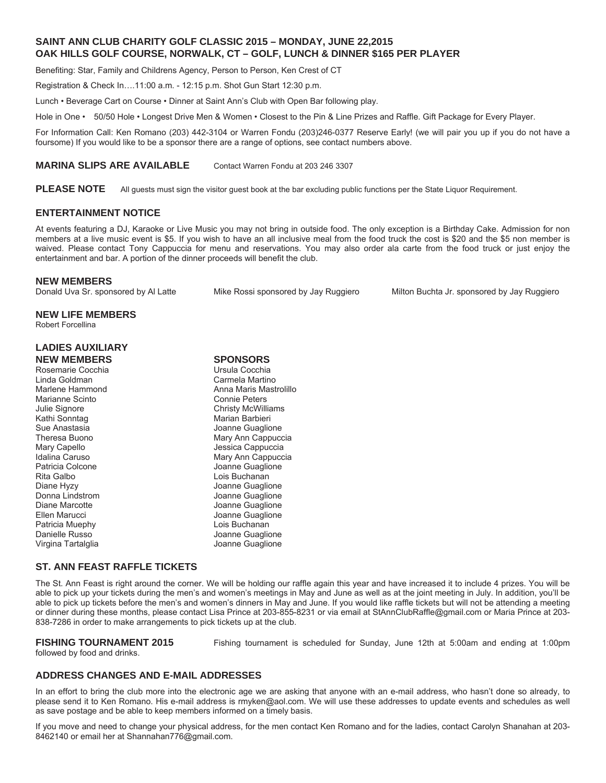#### **SAINT ANN CLUB CHARITY GOLF CLASSIC 2015 – MONDAY, JUNE 22,2015 OAK HILLS GOLF COURSE, NORWALK, CT – GOLF, LUNCH & DINNER \$165 PER PLAYER**

Benefiting: Star, Family and Childrens Agency, Person to Person, Ken Crest of CT

Registration & Check In….11:00 a.m. - 12:15 p.m. Shot Gun Start 12:30 p.m.

Lunch • Beverage Cart on Course • Dinner at Saint Ann's Club with Open Bar following play.

Hole in One • 50/50 Hole • Longest Drive Men & Women • Closest to the Pin & Line Prizes and Raffle. Gift Package for Every Player.

For Information Call: Ken Romano (203) 442-3104 or Warren Fondu (203)246-0377 Reserve Early! (we will pair you up if you do not have a foursome) If you would like to be a sponsor there are a range of options, see contact numbers above.

#### **MARINA SLIPS ARE AVAILABLE** Contact Warren Fondu at 203 246 3307

**PLEASE NOTE** All guests must sign the visitor guest book at the bar excluding public functions per the State Liquor Requirement.

#### **ENTERTAINMENT NOTICE**

At events featuring a DJ, Karaoke or Live Music you may not bring in outside food. The only exception is a Birthday Cake. Admission for non members at a live music event is \$5. If you wish to have an all inclusive meal from the food truck the cost is \$20 and the \$5 non member is waived. Please contact Tony Cappuccia for menu and reservations. You may also order ala carte from the food truck or just enjoy the entertainment and bar. A portion of the dinner proceeds will benefit the club.

#### **NEW MEMBERS**

Donald Uva Sr. sponsored by Al Latte Mike Rossi sponsored by Jay Ruggiero Milton Buchta Jr. sponsored by Jay Ruggiero

### **NEW LIFE MEMBERS**

Robert Forcellina

#### **LADIES AUXILIARY NEW MEMBERS SPONSORS**

| Rosemarie Cocchia  | Ur |
|--------------------|----|
| Linda Goldman      | Cέ |
| Marlene Hammond    | Ar |
| Marianne Scinto    | Cс |
|                    | Сł |
| Julie Signore      |    |
| Kathi Sonntag      | M  |
| Sue Anastasia      | Jo |
| Theresa Buono      | M  |
| Mary Capello       | Je |
| Idalina Caruso     | M  |
| Patricia Colcone   | Jo |
| Rita Galbo         | Lc |
| Diane Hyzy         | Jo |
| Donna Lindstrom    | Jo |
| Diane Marcotte     | Jc |
| Ellen Marucci      | Jc |
| Patricia Muephy    | Lc |
| Danielle Russo     | Jo |
| Virgina Tartalglia | Jo |
|                    |    |

#### **ST. ANN FEAST RAFFLE TICKETS**

The St. Ann Feast is right around the corner. We will be holding our raffle again this year and have increased it to include 4 prizes. You will be able to pick up your tickets during the men's and women's meetings in May and June as well as at the joint meeting in July. In addition, you'll be able to pick up tickets before the men's and women's dinners in May and June. If you would like raffle tickets but will not be attending a meeting or dinner during these months, please contact Lisa Prince at 203-855-8231 or via email at StAnnClubRaffle@gmail.com or Maria Prince at 203- 838-7286 in order to make arrangements to pick tickets up at the club.

# followed by food and drinks.

**FISHING TOURNAMENT 2015** Fishing tournament is scheduled for Sunday, June 12th at 5:00am and ending at 1:00pm

#### **ADDRESS CHANGES AND E-MAIL ADDRESSES**

In an effort to bring the club more into the electronic age we are asking that anyone with an e-mail address, who hasn't done so already, to please send it to Ken Romano. His e-mail address is rmyken@aol.com. We will use these addresses to update events and schedules as well as save postage and be able to keep members informed on a timely basis.

If you move and need to change your physical address, for the men contact Ken Romano and for the ladies, contact Carolyn Shanahan at 203- 8462140 or email her at Shannahan776@gmail.com.

rsula Cocchia Linda Goldman Carmela Martino nna Maris Mastrolillo onnie Peters hristy McWilliams arian Barbieri **Suaglione** lary Ann Cappuccia essica Cappuccia ary Ann Cappuccia **Panne Guaglione** bis Buchanan **Dianne Guaglione** banne Guaglione banne Guaglione banne Guaglione pis Buchanan banne Guaglione vanne Guaglione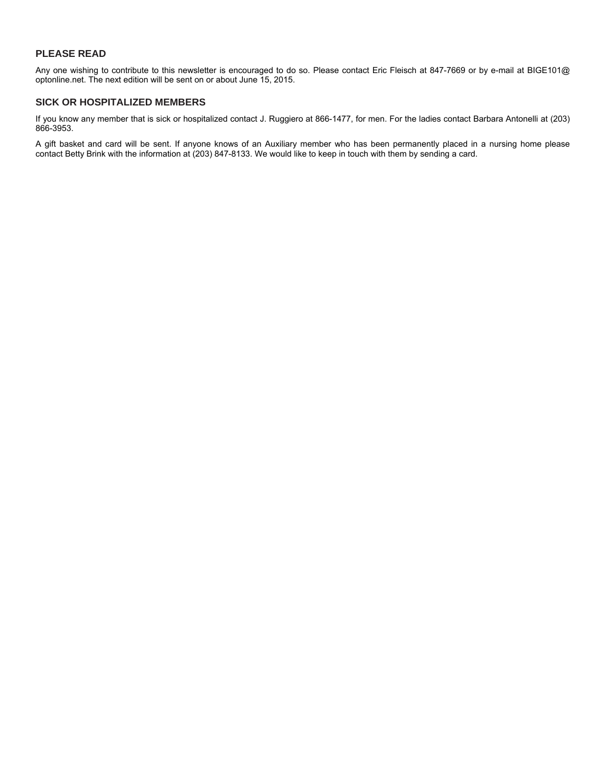#### **PLEASE READ**

Any one wishing to contribute to this newsletter is encouraged to do so. Please contact Eric Fleisch at 847-7669 or by e-mail at BIGE101@ optonline.net. The next edition will be sent on or about June 15, 2015.

#### **SICK OR HOSPITALIZED MEMBERS**

If you know any member that is sick or hospitalized contact J. Ruggiero at 866-1477, for men. For the ladies contact Barbara Antonelli at (203) 866-3953.

A gift basket and card will be sent. If anyone knows of an Auxiliary member who has been permanently placed in a nursing home please contact Betty Brink with the information at (203) 847-8133. We would like to keep in touch with them by sending a card.